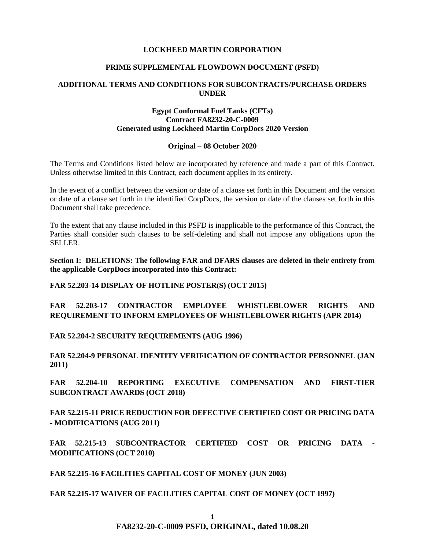## **LOCKHEED MARTIN CORPORATION**

### **PRIME SUPPLEMENTAL FLOWDOWN DOCUMENT (PSFD)**

### **ADDITIONAL TERMS AND CONDITIONS FOR SUBCONTRACTS/PURCHASE ORDERS UNDER**

## **Egypt Conformal Fuel Tanks (CFTs) Contract FA8232-20-C-0009 Generated using Lockheed Martin CorpDocs 2020 Version**

#### **Original – 08 October 2020**

The Terms and Conditions listed below are incorporated by reference and made a part of this Contract. Unless otherwise limited in this Contract, each document applies in its entirety.

In the event of a conflict between the version or date of a clause set forth in this Document and the version or date of a clause set forth in the identified CorpDocs, the version or date of the clauses set forth in this Document shall take precedence.

To the extent that any clause included in this PSFD is inapplicable to the performance of this Contract, the Parties shall consider such clauses to be self-deleting and shall not impose any obligations upon the SELLER.

**Section I: DELETIONS: The following FAR and DFARS clauses are deleted in their entirety from the applicable CorpDocs incorporated into this Contract:**

**FAR 52.203-14 DISPLAY OF HOTLINE POSTER(S) (OCT 2015)**

# **FAR 52.203-17 CONTRACTOR EMPLOYEE WHISTLEBLOWER RIGHTS AND REQUIREMENT TO INFORM EMPLOYEES OF WHISTLEBLOWER RIGHTS (APR 2014)**

**FAR 52.204-2 SECURITY REQUIREMENTS (AUG 1996)**

**FAR 52.204-9 PERSONAL IDENTITY VERIFICATION OF CONTRACTOR PERSONNEL (JAN 2011)** 

**FAR 52.204-10 REPORTING EXECUTIVE COMPENSATION AND FIRST-TIER SUBCONTRACT AWARDS (OCT 2018)** 

**FAR 52.215-11 PRICE REDUCTION FOR DEFECTIVE CERTIFIED COST OR PRICING DATA - MODIFICATIONS (AUG 2011)**

**FAR 52.215-13 SUBCONTRACTOR CERTIFIED COST OR PRICING DATA - MODIFICATIONS (OCT 2010)**

**FAR 52.215-16 FACILITIES CAPITAL COST OF MONEY (JUN 2003)**

**FAR 52.215-17 WAIVER OF FACILITIES CAPITAL COST OF MONEY (OCT 1997)**

**FA8232-20-C-0009 PSFD, ORIGINAL, dated 10.08.20**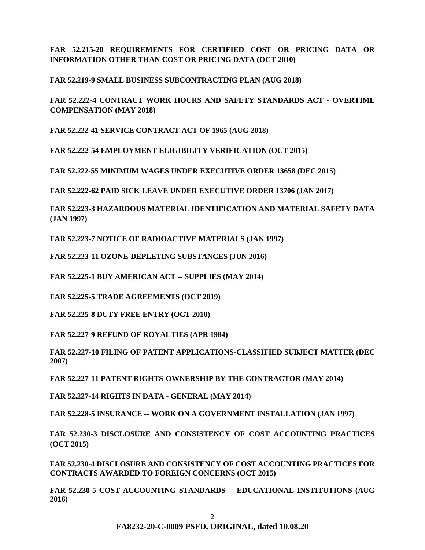**FAR 52.215-20 REQUIREMENTS FOR CERTIFIED COST OR PRICING DATA OR INFORMATION OTHER THAN COST OR PRICING DATA (OCT 2010)**

**FAR 52.219-9 SMALL BUSINESS SUBCONTRACTING PLAN (AUG 2018)**

**FAR 52.222-4 CONTRACT WORK HOURS AND SAFETY STANDARDS ACT - OVERTIME COMPENSATION (MAY 2018)**

**FAR 52.222-41 SERVICE CONTRACT ACT OF 1965 (AUG 2018)**

**FAR 52.222-54 EMPLOYMENT ELIGIBILITY VERIFICATION (OCT 2015)**

**FAR 52.222-55 MINIMUM WAGES UNDER EXECUTIVE ORDER 13658 (DEC 2015)**

**FAR 52.222-62 PAID SICK LEAVE UNDER EXECUTIVE ORDER 13706 (JAN 2017)** 

**FAR 52.223-3 HAZARDOUS MATERIAL IDENTIFICATION AND MATERIAL SAFETY DATA (JAN 1997)**

**FAR 52.223-7 NOTICE OF RADIOACTIVE MATERIALS (JAN 1997)**

**FAR 52.223-11 OZONE-DEPLETING SUBSTANCES (JUN 2016)**

**FAR 52.225-1 BUY AMERICAN ACT -- SUPPLIES (MAY 2014)**

**FAR 52.225-5 TRADE AGREEMENTS (OCT 2019)** 

**FAR 52.225-8 DUTY FREE ENTRY (OCT 2010)** 

**FAR 52.227-9 REFUND OF ROYALTIES (APR 1984)**

**FAR 52.227-10 FILING OF PATENT APPLICATIONS-CLASSIFIED SUBJECT MATTER (DEC 2007)**

**FAR 52.227-11 PATENT RIGHTS-OWNERSHIP BY THE CONTRACTOR (MAY 2014)**

**FAR 52.227-14 RIGHTS IN DATA - GENERAL (MAY 2014)**

**FAR 52.228-5 INSURANCE -- WORK ON A GOVERNMENT INSTALLATION (JAN 1997)**

**FAR 52.230-3 DISCLOSURE AND CONSISTENCY OF COST ACCOUNTING PRACTICES (OCT 2015)**

**FAR 52.230-4 DISCLOSURE AND CONSISTENCY OF COST ACCOUNTING PRACTICES FOR CONTRACTS AWARDED TO FOREIGN CONCERNS (OCT 2015)**

**FAR 52.230-5 COST ACCOUNTING STANDARDS -- EDUCATIONAL INSTITUTIONS (AUG 2016)**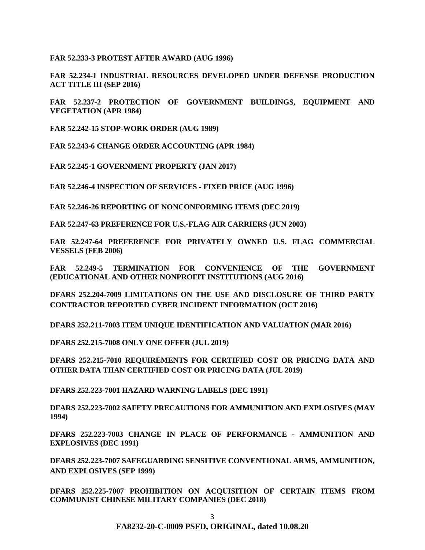**FAR 52.233-3 PROTEST AFTER AWARD (AUG 1996)**

**FAR 52.234-1 INDUSTRIAL RESOURCES DEVELOPED UNDER DEFENSE PRODUCTION ACT TITLE III (SEP 2016)**

**FAR 52.237-2 PROTECTION OF GOVERNMENT BUILDINGS, EQUIPMENT AND VEGETATION (APR 1984)**

**FAR 52.242-15 STOP-WORK ORDER (AUG 1989)**

**FAR 52.243-6 CHANGE ORDER ACCOUNTING (APR 1984)**

**FAR 52.245-1 GOVERNMENT PROPERTY (JAN 2017)**

**FAR 52.246-4 INSPECTION OF SERVICES - FIXED PRICE (AUG 1996)**

**FAR 52.246-26 REPORTING OF NONCONFORMING ITEMS (DEC 2019)**

**FAR 52.247-63 PREFERENCE FOR U.S.-FLAG AIR CARRIERS (JUN 2003)**

**FAR 52.247-64 PREFERENCE FOR PRIVATELY OWNED U.S. FLAG COMMERCIAL VESSELS (FEB 2006)**

**FAR 52.249-5 TERMINATION FOR CONVENIENCE OF THE GOVERNMENT (EDUCATIONAL AND OTHER NONPROFIT INSTITUTIONS (AUG 2016)**

**DFARS 252.204-7009 LIMITATIONS ON THE USE AND DISCLOSURE OF THIRD PARTY CONTRACTOR REPORTED CYBER INCIDENT INFORMATION (OCT 2016)**

**DFARS 252.211-7003 ITEM UNIQUE IDENTIFICATION AND VALUATION (MAR 2016)**

**DFARS 252.215-7008 ONLY ONE OFFER (JUL 2019)**

**DFARS 252.215-7010 REQUIREMENTS FOR CERTIFIED COST OR PRICING DATA AND OTHER DATA THAN CERTIFIED COST OR PRICING DATA (JUL 2019)**

**DFARS 252.223-7001 HAZARD WARNING LABELS (DEC 1991)**

**DFARS 252.223-7002 SAFETY PRECAUTIONS FOR AMMUNITION AND EXPLOSIVES (MAY 1994)**

**DFARS 252.223-7003 CHANGE IN PLACE OF PERFORMANCE - AMMUNITION AND EXPLOSIVES (DEC 1991)** 

**DFARS 252.223-7007 SAFEGUARDING SENSITIVE CONVENTIONAL ARMS, AMMUNITION, AND EXPLOSIVES (SEP 1999)**

**DFARS 252.225-7007 PROHIBITION ON ACQUISITION OF CERTAIN ITEMS FROM COMMUNIST CHINESE MILITARY COMPANIES (DEC 2018)**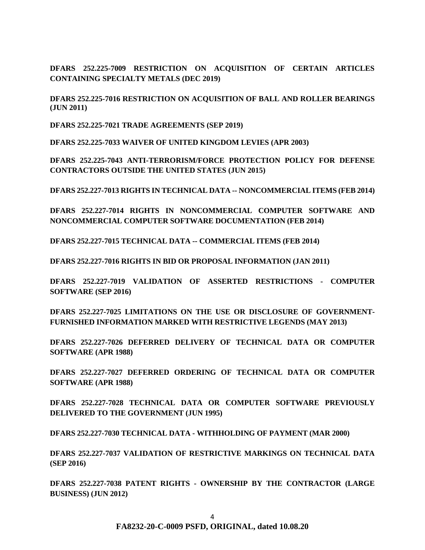**DFARS 252.225-7009 RESTRICTION ON ACQUISITION OF CERTAIN ARTICLES CONTAINING SPECIALTY METALS (DEC 2019)**

**DFARS 252.225-7016 RESTRICTION ON ACQUISITION OF BALL AND ROLLER BEARINGS (JUN 2011)**

**DFARS 252.225-7021 TRADE AGREEMENTS (SEP 2019)**

**DFARS 252.225-7033 WAIVER OF UNITED KINGDOM LEVIES (APR 2003)**

**DFARS 252.225-7043 ANTI-TERRORISM/FORCE PROTECTION POLICY FOR DEFENSE CONTRACTORS OUTSIDE THE UNITED STATES (JUN 2015)**

**DFARS 252.227-7013 RIGHTS IN TECHNICAL DATA -- NONCOMMERCIAL ITEMS (FEB 2014)**

**DFARS 252.227-7014 RIGHTS IN NONCOMMERCIAL COMPUTER SOFTWARE AND NONCOMMERCIAL COMPUTER SOFTWARE DOCUMENTATION (FEB 2014)** 

**DFARS 252.227-7015 TECHNICAL DATA -- COMMERCIAL ITEMS (FEB 2014)** 

**DFARS 252.227-7016 RIGHTS IN BID OR PROPOSAL INFORMATION (JAN 2011)**

**DFARS 252.227-7019 VALIDATION OF ASSERTED RESTRICTIONS - COMPUTER SOFTWARE (SEP 2016)**

**DFARS 252.227-7025 LIMITATIONS ON THE USE OR DISCLOSURE OF GOVERNMENT-FURNISHED INFORMATION MARKED WITH RESTRICTIVE LEGENDS (MAY 2013)**

**DFARS 252.227-7026 DEFERRED DELIVERY OF TECHNICAL DATA OR COMPUTER SOFTWARE (APR 1988)** 

**DFARS 252.227-7027 DEFERRED ORDERING OF TECHNICAL DATA OR COMPUTER SOFTWARE (APR 1988)** 

**DFARS 252.227-7028 TECHNICAL DATA OR COMPUTER SOFTWARE PREVIOUSLY DELIVERED TO THE GOVERNMENT (JUN 1995)** 

**DFARS 252.227-7030 TECHNICAL DATA - WITHHOLDING OF PAYMENT (MAR 2000)** 

**DFARS 252.227-7037 VALIDATION OF RESTRICTIVE MARKINGS ON TECHNICAL DATA (SEP 2016)**

**DFARS 252.227-7038 PATENT RIGHTS - OWNERSHIP BY THE CONTRACTOR (LARGE BUSINESS) (JUN 2012)**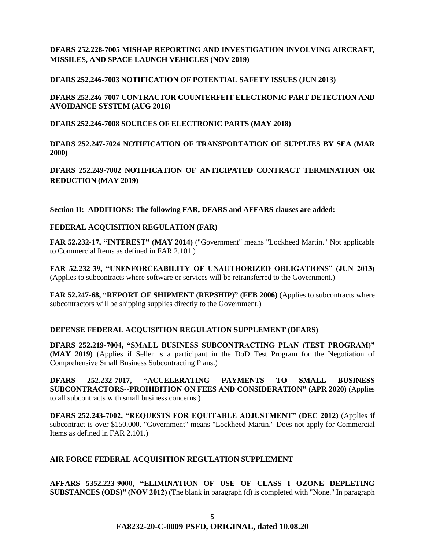# **DFARS 252.228-7005 MISHAP REPORTING AND INVESTIGATION INVOLVING AIRCRAFT, MISSILES, AND SPACE LAUNCH VEHICLES (NOV 2019)**

# **DFARS 252.246-7003 NOTIFICATION OF POTENTIAL SAFETY ISSUES (JUN 2013)**

**DFARS 252.246-7007 CONTRACTOR COUNTERFEIT ELECTRONIC PART DETECTION AND AVOIDANCE SYSTEM (AUG 2016)** 

**DFARS 252.246-7008 SOURCES OF ELECTRONIC PARTS (MAY 2018)**

**DFARS 252.247-7024 NOTIFICATION OF TRANSPORTATION OF SUPPLIES BY SEA (MAR 2000)**

**DFARS 252.249-7002 NOTIFICATION OF ANTICIPATED CONTRACT TERMINATION OR REDUCTION (MAY 2019)**

**Section II: ADDITIONS: The following FAR, DFARS and AFFARS clauses are added:**

# **[FEDERAL ACQUISITION REGULATION \(](https://www.acquisition.gov/browsefar)FAR)**

**FAR 52.232-17, "INTEREST" (MAY 2014)** ("Government" means "Lockheed Martin." Not applicable to Commercial Items as defined in FAR 2.101.)

**FAR 52.232-39, "UNENFORCEABILITY OF UNAUTHORIZED OBLIGATIONS" (JUN 2013)** (Applies to subcontracts where software or services will be retransferred to the Government.)

**FAR 52.247-68, "REPORT OF SHIPMENT (REPSHIP)" (FEB 2006)** (Applies to subcontracts where subcontractors will be shipping supplies directly to the Government.)

## **DEFENSE FEDERAL ACQUISITION REGULATION SUPPLEMENT (DFARS)**

**DFARS 252.219-7004, "SMALL BUSINESS SUBCONTRACTING PLAN (TEST PROGRAM)" (MAY 2019)** (Applies if Seller is a participant in the DoD Test Program for the Negotiation of Comprehensive Small Business Subcontracting Plans.)

**DFARS 252.232-7017, "ACCELERATING PAYMENTS TO SMALL BUSINESS SUBCONTRACTORS--PROHIBITION ON FEES AND CONSIDERATION" (APR 2020)** (Applies to all subcontracts with small business concerns.)

**DFARS 252.243-7002, "REQUESTS FOR EQUITABLE ADJUSTMENT" (DEC 2012)** (Applies if subcontract is over \$150,000. "Government" means "Lockheed Martin." Does not apply for Commercial Items as defined in FAR 2.101.)

## **AIR FORCE FEDERAL ACQUISITION REGULATION SUPPLEMENT**

**AFFARS 5352.223-9000, "ELIMINATION OF USE OF CLASS I OZONE DEPLETING SUBSTANCES (ODS)" (NOV 2012)** (The blank in paragraph (d) is completed with "None." In paragraph